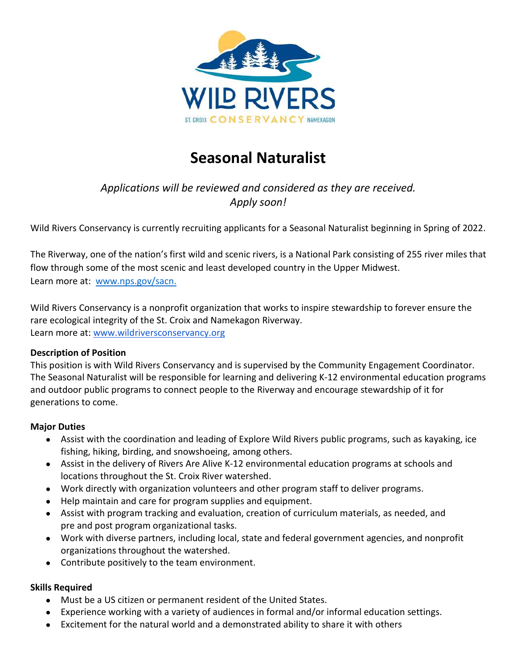

# **Seasonal Naturalist**

# *Applications will be reviewed and considered as they are received. Apply soon!*

Wild Rivers Conservancy is currently recruiting applicants for a Seasonal Naturalist beginning in Spring of 2022.

The Riverway, one of the nation's first wild and scenic rivers, is a National Park consisting of 255 river miles that flow through some of the most scenic and least developed country in the Upper Midwest. Learn more at: [www.nps.gov/sacn.](http://www.nps.gov/sacn) 

Wild Rivers Conservancy is a nonprofit organization that works to inspire stewardship to forever ensure the rare ecological integrity of the St. Croix and Namekagon Riverway. Learn more at: [www.wildriversconservancy.org](http://www.wildriversconservancy.org/) 

#### **Description of Position**

This position is with Wild Rivers Conservancy and is supervised by the Community Engagement Coordinator. The Seasonal Naturalist will be responsible for learning and delivering K-12 environmental education programs and outdoor public programs to connect people to the Riverway and encourage stewardship of it for generations to come.

#### **Major Duties**

- Assist with the coordination and leading of Explore Wild Rivers public programs, such as kayaking, ice fishing, hiking, birding, and snowshoeing, among others.
- Assist in the delivery of Rivers Are Alive K-12 environmental education programs at schools and locations throughout the St. Croix River watershed.
- Work directly with organization volunteers and other program staff to deliver programs.
- Help maintain and care for program supplies and equipment.
- Assist with program tracking and evaluation, creation of curriculum materials, as needed, and pre and post program organizational tasks.
- Work with diverse partners, including local, state and federal government agencies, and nonprofit organizations throughout the watershed.
- Contribute positively to the team environment.

#### **Skills Required**

- Must be a US citizen or permanent resident of the United States.
- Experience working with a variety of audiences in formal and/or informal education settings.
- Excitement for the natural world and a demonstrated ability to share it with others